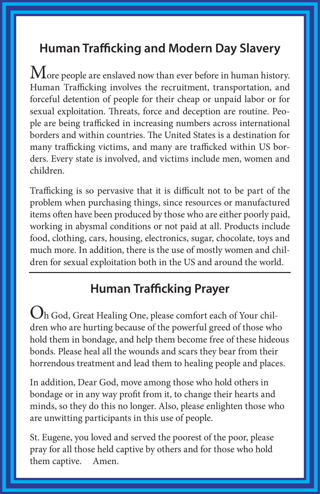# **Human Trafficking and Modern Day Slavery**

 $\rm\,M$ ore people are enslaved now than ever before in human history. Human Trafficking involves the recruitment, transportation, and forceful detention of people for their cheap or unpaid labor or for sexual exploitation. Threats, force and deception are routine. People are being trafficked in increasing numbers across international borders and within countries. The United States is a destination for many trafficking victims, and many are trafficked within US borders. Every state is involved, and victims include men, women and children.

Trafficking is so pervasive that it is difficult not to be part of the problem when purchasing things, since resources or manufactured items often have been produced by those who are either poorly paid, working in abysmal conditions or not paid at all. Products include food, clothing, cars, housing, electronics, sugar, chocolate, toys and much more. In addition, there is the use of mostly women and children for sexual exploitation both in the US and around the world.

## **Human Trafficking Prayer**

Oh God, Great Healing One, please comfort each of Your children who are hurting because of the powerful greed of those who hold them in bondage, and help them become free of these hideous bonds. Please heal all the wounds and scars they bear from their horrendous treatment and lead them to healing people and places.

In addition, Dear God, move among those who hold others in bondage or in any way profit from it, to change their hearts and minds, so they do this no longer. Also, please enlighten those who are unwitting participants in this use of people.

St. Eugene, you loved and served the poorest of the poor, please pray for all those held captive by others and for those who hold them captive. Amen.